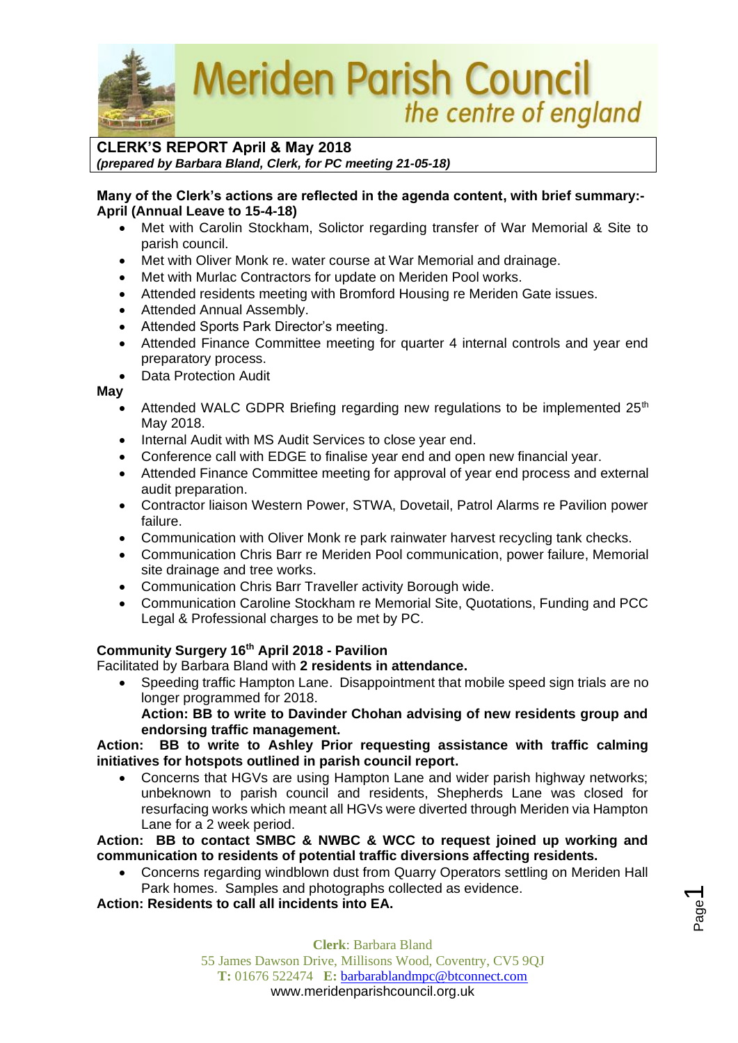**Meriden Parish Council** the centre of england

**CLERK'S REPORT April & May 2018** *(prepared by Barbara Bland, Clerk, for PC meeting 21-05-18)*

**Many of the Clerk's actions are reflected in the agenda content, with brief summary:- April (Annual Leave to 15-4-18)**

- Met with Carolin Stockham, Solictor regarding transfer of War Memorial & Site to parish council.
- Met with Oliver Monk re. water course at War Memorial and drainage.
- Met with Murlac Contractors for update on Meriden Pool works.
- Attended residents meeting with Bromford Housing re Meriden Gate issues.
- Attended Annual Assembly.
- Attended Sports Park Director's meeting.
- Attended Finance Committee meeting for quarter 4 internal controls and year end preparatory process.
- Data Protection Audit

#### **May**

- Attended WALC GDPR Briefing regarding new regulations to be implemented 25<sup>th</sup> May 2018.
- Internal Audit with MS Audit Services to close year end.
- Conference call with EDGE to finalise year end and open new financial year.
- Attended Finance Committee meeting for approval of year end process and external audit preparation.
- Contractor liaison Western Power, STWA, Dovetail, Patrol Alarms re Pavilion power failure.
- Communication with Oliver Monk re park rainwater harvest recycling tank checks.
- Communication Chris Barr re Meriden Pool communication, power failure, Memorial site drainage and tree works.
- Communication Chris Barr Traveller activity Borough wide.
- Communication Caroline Stockham re Memorial Site, Quotations, Funding and PCC Legal & Professional charges to be met by PC.

#### **Community Surgery 16th April 2018 - Pavilion**

Facilitated by Barbara Bland with **2 residents in attendance.** 

- Speeding traffic Hampton Lane. Disappointment that mobile speed sign trials are no longer programmed for 2018.
	- **Action: BB to write to Davinder Chohan advising of new residents group and endorsing traffic management.**

## **Action: BB to write to Ashley Prior requesting assistance with traffic calming initiatives for hotspots outlined in parish council report.**

• Concerns that HGVs are using Hampton Lane and wider parish highway networks; unbeknown to parish council and residents, Shepherds Lane was closed for resurfacing works which meant all HGVs were diverted through Meriden via Hampton Lane for a 2 week period.

**Action: BB to contact SMBC & NWBC & WCC to request joined up working and communication to residents of potential traffic diversions affecting residents.**

• Concerns regarding windblown dust from Quarry Operators settling on Meriden Hall Park homes. Samples and photographs collected as evidence.

**Action: Residents to call all incidents into EA.**